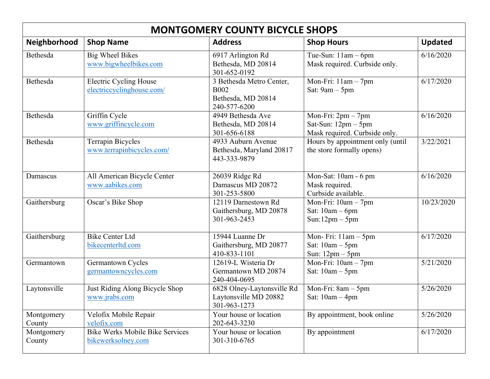| <b>MONTGOMERY COUNTY BICYCLE SHOPS</b> |                                                              |                                                                               |                                                                                |                |  |  |  |
|----------------------------------------|--------------------------------------------------------------|-------------------------------------------------------------------------------|--------------------------------------------------------------------------------|----------------|--|--|--|
| Neighborhood                           | <b>Shop Name</b>                                             | <b>Address</b>                                                                | <b>Shop Hours</b>                                                              | <b>Updated</b> |  |  |  |
| Bethesda                               | <b>Big Wheel Bikes</b><br>www.bigwheelbikes.com              | 6917 Arlington Rd<br>Bethesda, MD 20814<br>301-652-0192                       | Tue-Sun: $11am - 6pm$<br>Mask required. Curbside only.                         | 6/16/2020      |  |  |  |
| Bethesda                               | <b>Electric Cycling House</b><br>electriccyclinghouse.com/   | 3 Bethesda Metro Center,<br><b>B002</b><br>Bethesda, MD 20814<br>240-577-6200 | Mon-Fri: 11am - 7pm<br>Sat: $9am - 5pm$                                        | 6/17/2020      |  |  |  |
| Bethesda                               | Griffin Cycle<br>www.griffincycle.com                        | 4949 Bethesda Ave<br>Bethesda, MD 20814<br>301-656-6188                       | Mon-Fri: $2pm - 7pm$<br>Sat-Sun: $12pm - 5pm$<br>Mask required. Curbside only. | 6/16/2020      |  |  |  |
| Bethesda                               | <b>Terrapin Bicycles</b><br>www.terrapinbicycles.com/        | 4933 Auburn Avenue<br>Bethesda, Maryland 20817<br>443-333-9879                | Hours by appointment only (until<br>the store formally opens)                  | 3/22/2021      |  |  |  |
| Damascus                               | All American Bicycle Center<br>www.aabikes.com               | 26039 Ridge Rd<br>Damascus MD 20872<br>301-253-5800                           | Mon-Sat: 10am - 6 pm<br>Mask required.<br>Curbside available.                  | 6/16/2020      |  |  |  |
| Gaithersburg                           | Oscar's Bike Shop                                            | 12119 Darnestown Rd<br>Gaithersburg, MD 20878<br>301-963-2453                 | Mon-Fri: $10am - 7pm$<br>Sat: $10am - 6pm$<br>$Sun:12pm-5pm$                   | 10/23/2020     |  |  |  |
| Gaithersburg                           | <b>Bike Center Ltd</b><br>bikecenterltd.com                  | 15944 Luanne Dr<br>Gaithersburg, MD 20877<br>410-833-1101                     | Mon-Fri: $11am - 5pm$<br>Sat: $10am - 5pm$<br>Sun: $12pm - 5pm$                | 6/17/2020      |  |  |  |
| Germantown                             | Germantown Cycles<br>germantowncycles.com                    | 12619-L Wisteria Dr<br>Germantown MD 20874<br>240-404-0695                    | Mon-Fri: $10am - 7pm$<br>Sat: $10am - 5pm$                                     | 5/21/2020      |  |  |  |
| Laytonsville                           | Just Riding Along Bicycle Shop<br>www.jrabs.com              | 6828 Olney-Laytonsville Rd<br>Laytonsville MD 20882<br>301-963-1273           | Mon-Fri: 8am - 5pm<br>Sat: $10am - 4pm$                                        | 5/26/2020      |  |  |  |
| Montgomery<br>County                   | Velofix Mobile Repair<br>velofix.com                         | Your house or location<br>202-643-3230                                        | By appointment, book online                                                    | 5/26/2020      |  |  |  |
| Montgomery<br>County                   | <b>Bike Werks Mobile Bike Services</b><br>bikewerksolney.com | Your house or location<br>301-310-6765                                        | By appointment                                                                 | 6/17/2020      |  |  |  |